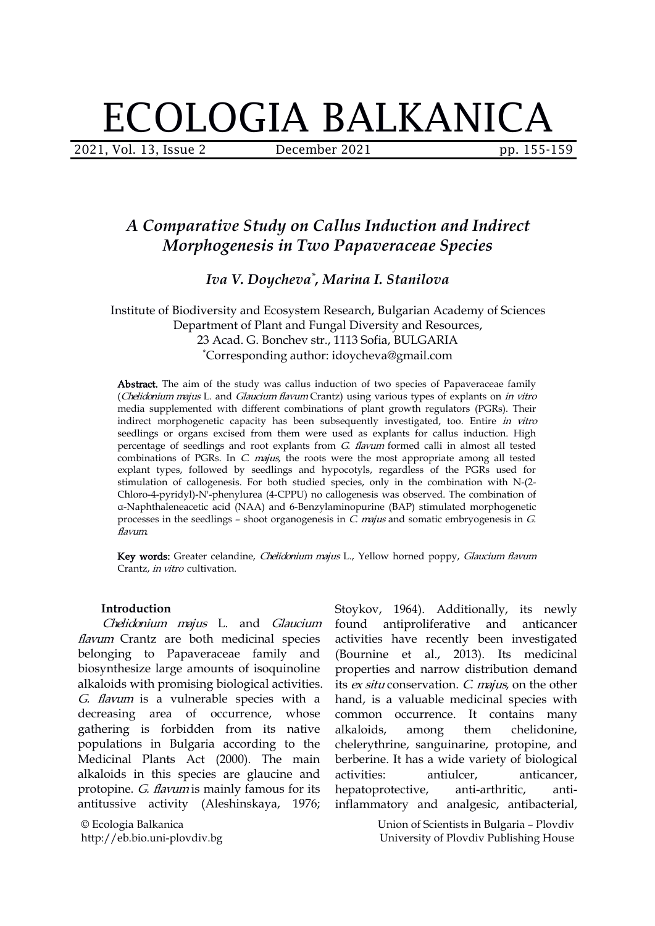# ECOLOGIA BALKANICA

2021, Vol. 13, Issue 2 **December 2021** pp. 155-159

## *A Comparative Study on Callus Induction and Indirect Morphogenesis in Two Papaveraceae Species*

### *Iva V. Doycheva \* , Marina I. Stanilova*

Institute of Biodiversity and Ecosystem Research, Bulgarian Academy of Sciences Department of Plant and Fungal Diversity and Resources, 23 Acad. G. Bonchev str., 1113 Sofia, BULGARIA \*Corresponding author: idoycheva@gmail.com

Abstract. The aim of the study was callus induction of two species of Papaveraceae family (Chelidonium majus L. and Glaucium flavum Crantz) using various types of explants on in vitro media supplemented with different combinations of plant growth regulators (PGRs). Their indirect morphogenetic capacity has been subsequently investigated, too. Entire in vitro seedlings or organs excised from them were used as explants for callus induction. High percentage of seedlings and root explants from G. flavum formed calli in almost all tested combinations of PGRs. In  $C$ .  $majus$ , the roots were the most appropriate among all tested explant types, followed by seedlings and hypocotyls, regardless of the PGRs used for stimulation of callogenesis. For both studied species, only in the combination with N-(2-Chloro-4-pyridyl)-N'-phenylurea (4-CPPU) no callogenesis was observed. The combination of α-Naphthaleneacetic acid (NAA) and 6-Benzylaminopurine (BAP) stimulated morphogenetic processes in the seedlings – shoot organogenesis in  $C$ . majus and somatic embryogenesis in  $G$ . flavum.

Key words: Greater celandine, Chelidonium majus L., Yellow horned poppy, Glaucium flavum Crantz, in vitro cultivation.

#### **Introduction**

flavum Crantz are both medicinal species belonging to Papaveraceae family and biosynthesize large amounts of isoquinoline alkaloids with promising biological activities. G. flavum is a vulnerable species with a decreasing area of occurrence, whose gathering is forbidden from its native populations in Bulgaria according to the Medicinal Plants Act (2000). The main alkaloids in this species are glaucine and activities: antiulcer, protopine. G. flavum is mainly famous for its antitussive activity (Aleshinskaya, 1976;

© Ecologia Balkanica http://eb.bio.uni-plovdiv.bg

Chelidonium majus L. and Glaucium found antiproliferative and anticancer Stoykov, 1964). Additionally, its newly antiproliferative and activities have recently been investigated (Bournine et al., 2013). Its medicinal properties and narrow distribution demand its ex situ conservation. C. majus, on the other hand, is a valuable medicinal species with common occurrence. It contains many them chelidonine, chelerythrine, sanguinarine, protopine, and berberine. It has a wide variety of biological anticancer, hepatoprotective, anti-arthritic, antiinflammatory and analgesic, antibacterial,

> Union of Scientists in Bulgaria – Plovdiv University of Plovdiv Publishing House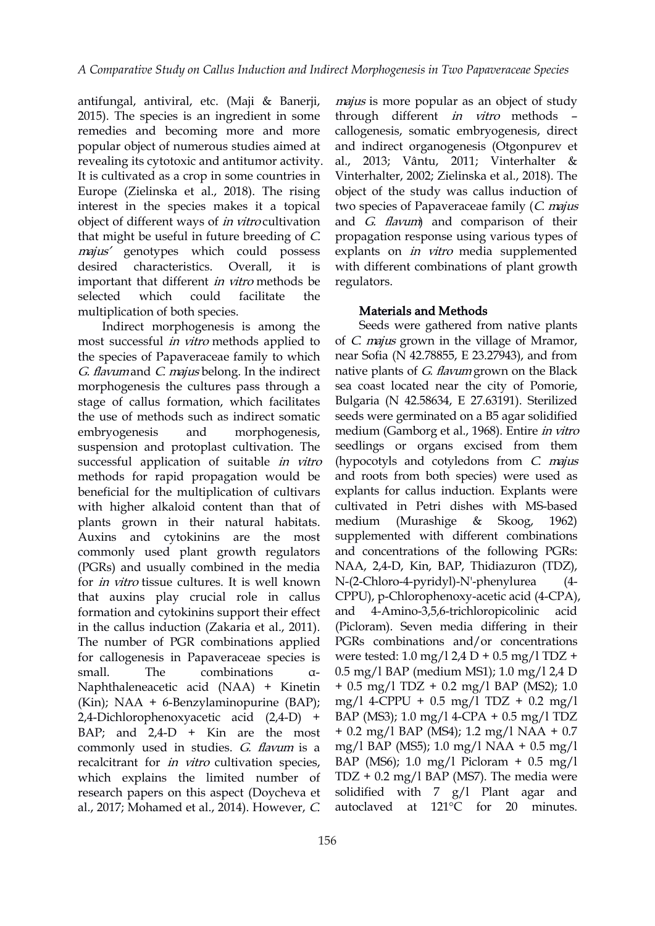antifungal, antiviral, etc. (Maji & Banerji, 2015). The species is an ingredient in some remedies and becoming more and more popular object of numerous studies aimed at revealing its cytotoxic and antitumor activity. It is cultivated as a crop in some countries in Europe (Zielinska et al., 2018). The rising interest in the species makes it a topical object of different ways of *in vitro* cultivation that might be useful in future breeding of C. majus' genotypes which could possess desired characteristics. Overall, it is important that different *in vitro* methods be selected which could facilitate the multiplication of both species.

Indirect morphogenesis is among the most successful in vitro methods applied to the species of Papaveraceae family to which G. flavum and C. majus belong. In the indirect morphogenesis the cultures pass through a sea coast located near the city of Pomorie, stage of callus formation, which facilitates the use of methods such as indirect somatic embryogenesis and morphogenesis, suspension and protoplast cultivation. The successful application of suitable *in vitro* methods for rapid propagation would be beneficial for the multiplication of cultivars with higher alkaloid content than that of plants grown in their natural habitats. Auxins and cytokinins are the most commonly used plant growth regulators (PGRs) and usually combined in the media for in vitro tissue cultures. It is well known that auxins play crucial role in callus formation and cytokinins support their effect in the callus induction (Zakaria et al., 2011). The number of PGR combinations applied for callogenesis in Papaveraceae species is small. The combinations α- Naphthaleneacetic acid (NAA) + Kinetin (Kin); NAA + 6-Benzylaminopurine (BAP); 2,4-Dichlorophenoxyacetic acid (2,4-D) + BAP; and  $2,4-D +$  Kin are the most commonly used in studies. G. flavum is a recalcitrant for *in vitro* cultivation species, which explains the limited number of research papers on this aspect (Doycheva et al., 2017; Mohamed et al., 2014). However, C.

majus is more popular as an object of study through different in vitro methods – callogenesis, somatic embryogenesis, direct and indirect organogenesis (Otgonpurev et al., 2013; Vântu, 2011; Vinterhalter & Vinterhalter, 2002; Zielinska et al., 2018). The object of the study was callus induction of two species of Papaveraceae family (*C. majus* and G. flavum) and comparison of their propagation response using various types of explants on in vitro media supplemented with different combinations of plant growth regulators.

#### Materials and Methods

Seeds were gathered from native plants of C. majus grown in the village of Mramor, near Sofia (N 42.78855, E 23.27943), and from native plants of *G. flavum* grown on the Black Bulgaria (N 42.58634, E 27.63191). Sterilized seeds were germinated on a B5 agar solidified medium (Gamborg et al., 1968). Entire in vitro seedlings or organs excised from them (hypocotyls and cotyledons from C. majus and roots from both species) were used as explants for callus induction. Explants were cultivated in Petri dishes with MS-based (Murashige  $\&$  Skoog, 1962) supplemented with different combinations and concentrations of the following PGRs: NAA, 2,4-D, Kin, BAP, Thidiazuron (TDZ), N-(2-Chloro-4-pyridyl)-N'-phenylurea (4- CPPU), p-Chlorophenoxy-acetic acid (4-CPA), 4-Amino-3,5,6-trichloropicolinic acid (Picloram). Seven media differing in their PGRs combinations and/or concentrations were tested:  $1.0 \text{ mg}/12.4 \text{ D} + 0.5 \text{ mg}/1 \text{ T} \text{D} \text{Z} +$ 0.5 mg/l BAP (medium MS1); 1.0 mg/l 2,4 D + 0.5 mg/l TDZ + 0.2 mg/l BAP (MS2); 1.0 mg/l 4-CPPU + 0.5 mg/l TDZ + 0.2 mg/l BAP (MS3); 1.0 mg/l 4-CPA + 0.5 mg/l TDZ + 0.2 mg/l BAP (MS4); 1.2 mg/l NAA + 0.7 mg/l BAP (MS5); 1.0 mg/l NAA + 0.5 mg/l BAP (MS6); 1.0 mg/l Picloram + 0.5 mg/l  $TDZ + 0.2$  mg/l BAP (MS7). The media were solidified with  $7$   $g/l$  Plant agar and autoclaved at 121°C for 20 minutes.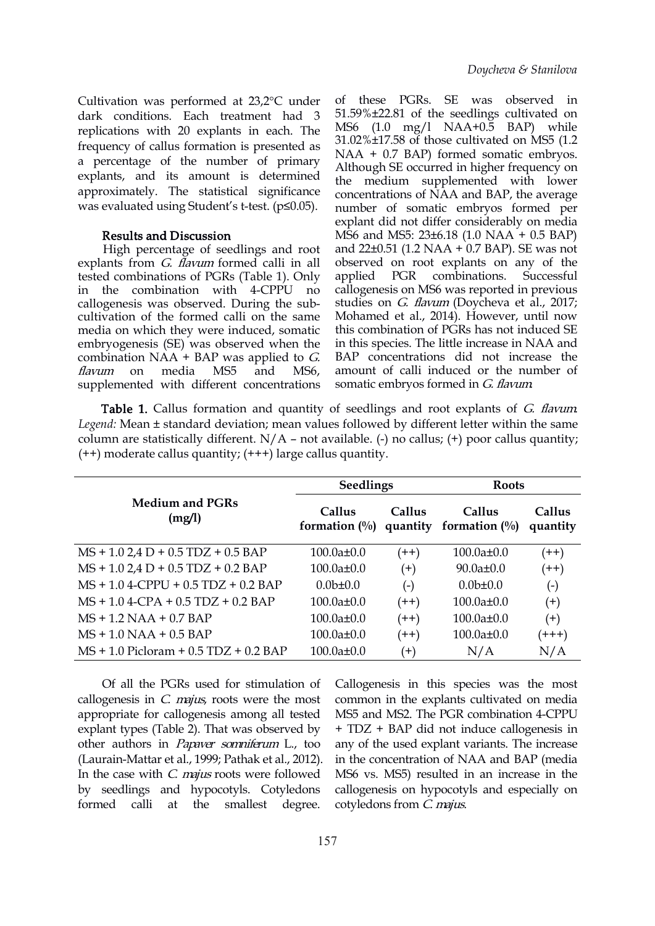Cultivation was performed at 23,2°C under dark conditions. Each treatment had 3 replications with 20 explants in each. The frequency of callus formation is presented as a percentage of the number of primary explants, and its amount is determined approximately. The statistical significance was evaluated using Student's t-test. (p≤0.05).

#### Results and Discussion

High percentage of seedlings and root explants from *G. flavum* formed calli in all observed on reflected combinations of PGRs (Table 1). Only applied PGR tested combinations of PGRs (Table 1). Only in the combination with 4-CPPU no callogenesis was observed. During the sub cultivation of the formed calli on the same media on which they were induced, somatic embryogenesis (SE) was observed when the combination NAA + BAP was applied to  $G$ . supplemented with different concentrations

flavum on media MS5 and MS6, amount of calli induced or the number of of these PGRs. SE was observed in 51.59%±22.81 of the seedlings cultivated on MS6 (1.0 mg/l NAA+0.5 BAP) while 31.02%±17.58 of those cultivated on MS5 (1.2 NAA + 0.7 BAP) formed somatic embryos. Although SE occurred in higher frequency on the medium supplemented with lower concentrations of NAA and BAP, the average number of somatic embryos formed per explant did not differ considerably on media MS6 and MS5: 23±6.18 (1.0 NAA + 0.5 BAP) and 22±0.51 (1.2 NAA + 0.7 BAP). SE was not observed on root explants on any of the combinations. Successful callogenesis on MS6 was reported in previous studies on *G. flavum* (Doycheva et al., 2017; Mohamed et al., 2014). However, until now this combination of PGRs has not induced SE in this species. The little increase in NAA and BAP concentrations did not increase the somatic embryos formed in *G. flavum*.

Table 1. Callus formation and quantity of seedlings and root explants of G. flavum. *Legend:* Mean ± standard deviation; mean values followed by different letter within the same column are statistically different.  $N/A$  – not available. (-) no callus; (+) poor callus quantity;  $(++)$  moderate callus quantity;  $(++)$  large callus quantity.

| <b>Medium and PGRs</b><br>(mg/l)            | <b>Seedlings</b> |               | <b>Roots</b>                                                                                 |                    |
|---------------------------------------------|------------------|---------------|----------------------------------------------------------------------------------------------|--------------------|
|                                             | Callus           | <b>Callus</b> | Callus<br>formation $\left(\frac{0}{0}\right)$ quantity formation $\left(\frac{0}{0}\right)$ | Callus<br>quantity |
| $MS + 1.02.4 D + 0.5 T DZ + 0.5 BAP$        | $100.0a \pm 0.0$ | $(++)$        | $100.0a \pm 0.0$                                                                             | $(++)$             |
| $MS + 1.02.4 D + 0.5 T DZ + 0.2 BAP$        | $100.0a \pm 0.0$ | $^{(+)}$      | $90.0a \pm 0.0$                                                                              | $(++)$             |
| $MS + 1.04$ -CPPU + 0.5 TDZ + 0.2 BAP       | $0.0b+0.0$       | $(-)$         | $0.0b \pm 0.0$                                                                               | $(\text{-})$       |
| $MS + 1.04-CPA + 0.5 TDZ + 0.2 BAP$         | $100.0a \pm 0.0$ | $(++)$        | $100.0a \pm 0.0$                                                                             | $^{(+)}$           |
| $MS + 1.2 NAA + 0.7 BAP$                    | $100.0a \pm 0.0$ | $(++)$        | $100.0a \pm 0.0$                                                                             | $^{(+)}$           |
| $MS + 1.0 NAA + 0.5 BAP$                    | $100.0a \pm 0.0$ | $(++)$        | $100.0a \pm 0.0$                                                                             | $(+++)$            |
| $MS + 1.0$ Picloram + $0.5$ TDZ + $0.2$ BAP | $100.0a \pm 0.0$ | $(+)$         | N/A                                                                                          | N/A                |

Of all the PGRs used for stimulation of callogenesis in  $C$ .  $mq$ ius, roots were the most appropriate for callogenesis among all tested explant types (Table 2). That was observed by other authors in Papaver somniferum L., too (Laurain-Mattar et al., 1999; Pathak et al., 2012). In the case with  $C$ . *majus* roots were followed by seedlings and hypocotyls. Cotyledons formed calli at the smallest degree.

Callogenesis in this species was the most common in the explants cultivated on media MS5 and MS2. The PGR combination 4-CPPU + TDZ + BAP did not induce callogenesis in any of the used explant variants. The increase in the concentration of NAA and BAP (media MS6 vs. MS5) resulted in an increase in the callogenesis on hypocotyls and especially on cotyledons from C. majus.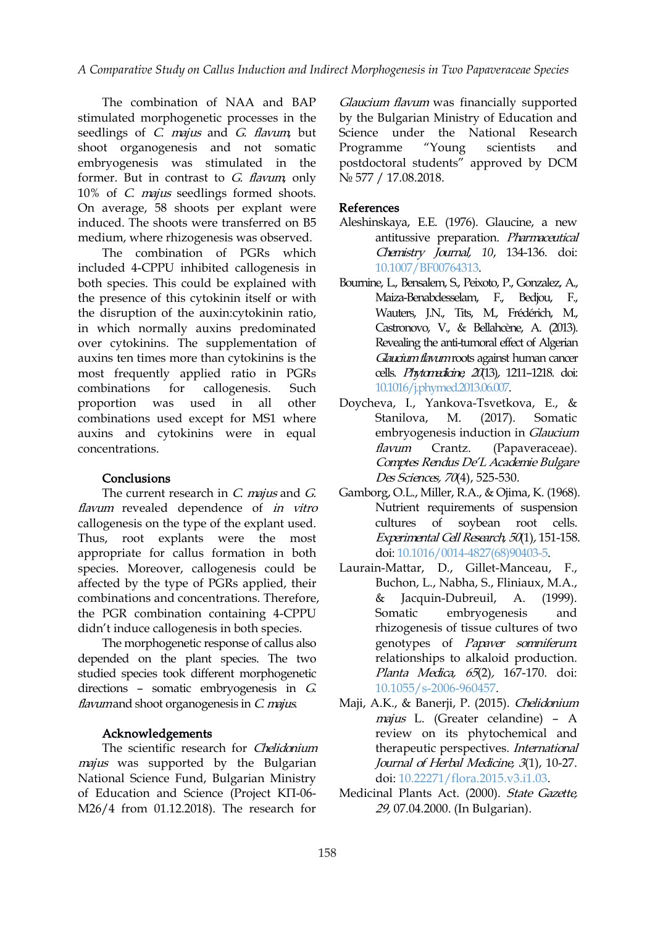The combination of NAA and BAP stimulated morphogenetic processes in the seedlings of *C. majus* and *G. flavum*, but shoot organogenesis and not somatic embryogenesis was stimulated in the former. But in contrast to G. flavum, only 10% of C. majus seedlings formed shoots. On average, 58 shoots per explant were induced. The shoots were transferred on B5 medium, where rhizogenesis was observed.

The combination of PGRs which included 4-CPPU inhibited callogenesis in both species. This could be explained with the presence of this cytokinin itself or with the disruption of the auxin:cytokinin ratio, in which normally auxins predominated over cytokinins. The supplementation of auxins ten times more than cytokinins is the most frequently applied ratio in PGRs combinations for callogenesis. Such [10.1016/j.phymed.2013.06.007](https://doi.org/10.1016/j.phymed.2013.06.007). proportion was used in all other Doycheva, I., Yankova-Tsvetkova, E., & combinations used except for MS1 where auxins and cytokinins were in equal concentrations.

#### **Conclusions**

The current research in  $C$ . *majus* and  $G$ .<br>*flavum* revealed dependence of *in vitro* callogenesis on the type of the explant used. Thus, root explants were the most appropriate for callus formation in both species. Moreover, callogenesis could be affected by the type of PGRs applied, their combinations and concentrations. Therefore, the PGR combination containing 4-CPPU didn't induce callogenesis in both species.

The morphogenetic response of callus also depended on the plant species. The two studied species took different morphogenetic directions – somatic embryogenesis in  $G$ .<br>flavumand shoot organogenesis in  $C$  majus.

#### Acknowledgements

The scientific research for Chelidonium majus was supported by the Bulgarian National Science Fund, Bulgarian Ministry of Education and Science (Project КП-06- М26/4 from 01.12.2018). The research for

Glaucium flavum was financially supported by the Bulgarian Ministry of Education and Science under the National Research Programme "Young scientists and postdoctoral students" approved by DCM № 577 / 17.08.2018.

#### References

- Aleshinskaya, E.E. (1976). Glaucine, a new antitussive preparation. Pharmaceutical Chemistry Journal, *10*, 134-136. doi: [10.1007/BF00764313](https://doi.org/10.1007/BF00764313).
- Bournine, L., Bensalem, S., Peixoto, P., Gonzalez, A., Maiza-Benabdesselam, F., Bedjou, F., Wauters, J.N., Tits, M., Frédérich, M., Castronovo, V., & Bellahcène, A. (2013). Revealing the anti-tumoral effect of Algerian Glaucium flavum roots against human cancer cells. Phytomedicine, <sup>20</sup>(13), 1211–1218. doi:
- Stanilova, M. (2017). Somatic embryogenesis induction in Glaucium flavum Crantz. (Papaveraceae). Comptes Rendus De'L Academie Bulgare Des Sciences, 70(4), 525-530.
- Gamborg, O.L., Miller, R.A., & Ojima, K. (1968). Nutrient requirements of suspension cultures of soybean root cells. Experimental Cell Research, <sup>50</sup>(1), 151-158. doi: [10.1016/0014-4827\(68\)90403-5.](https://doi.org/10.1016/0014-4827(68)90403-5)
- Laurain-Mattar, D., Gillet-Manceau, F., Buchon, L., Nabha, S., Fliniaux, M.A., & Jacquin-Dubreuil, A. (1999). embryogenesis and rhizogenesis of tissue cultures of two genotypes of Papaver somniferum: relationships to alkaloid production. Planta Medica, 65(2), 167-170. doi: [10.1055/s-2006-960457.](https://doi.org/10.1055/s-2006-960457)
- Maji, A.K., & Banerji, P. (2015). Chelidonium majus L. (Greater celandine) – A review on its phytochemical and therapeutic perspectives. International Journal of Herbal Medicine, 3(1), 10-27. doi: [10.22271/flora.2015.v3.i1.03.](https://doi.org/10.22271/flora.2015.v3.i1.03)
- Medicinal Plants Act. (2000). State Gazette, 29, 07.04.2000. (In Bulgarian).